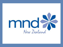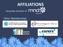

#### **Other Memberships**



**INTERNATIONAL ALLIANCE** OF ALS/MND ASSOCIATIONS





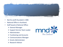

- Not for profit founded in 1985
- National Office in Auckland.
- Staff based at National Office:
	- ➢ General Manager
	- ➢ Support Service Team Leader
	- ➢ Administrator
	- $\triangleright$  Fundraising and Accounts
	- ➢ Communications Manager
	- ➢ Grants Administrator
	- ➢ Research Advisor

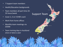- 7 Support team members
- Health/Education backgrounds
- Team members all part time 24- 35 hours/week
- Cover 2, 3 or 4 DHB's each
- Work from home offices
- Monthly team meetings via ZOOM
- Team training days in Auckland once or twice a year

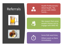## Referrals



Health Professionals/ Allied Health, The person with MND/ Family …







We respect that some people choose not to engage with MND NZ



Some folk need time, Others want us there immediately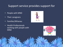### Support service provides support for

- People with MND
- Their caregivers
- Families/Whanau
- Health Professionals working with people with MND



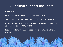## Our client support includes:

- Home Visits
- Email, text and phone follow up between visits
- The option of Skype/ZOOM calls with those in outreach areas
- Liaising with HP's, Allied Health, Rest Homes and community service providers, NASC, TALKLINK
- Providing information and support for extended family and friends

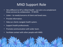# MND Support Role

- Very different to HP or Allied Health our aim is to complement these services by collaboration  $\rightarrow$  REFER.
- Listen to needs/concerns of client and loved ones.
- Provide information.
- Help our clients navigate health system.
- Support health professionals.
- Promote communication with wider team.
- Facilitate contact with other people with MND.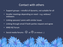### Contact with others

- Support groups mindful of dynamic, not suitable for all
- Smaller meetings depending on need e.g. widows/ widowers
- Linking spouses/ carers with similar issues
- Linking through email if both parties request and agree
- MND NZ Forum
- Social media forums  $\bigodot$  or  $\bigodot$  [In Holland ...]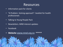### Resources

- Information pack for clients
- "A Problem -Solving approach"- booklet for health professionals
- Talking to Young People Pack
- Newsletters. MND interest updates
- Facebook
- **Website [www.mnd.org.nz](http://www.mnd.org.nz/) \*\*\*\*\***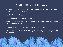#### MND NZ Research Network

- Established in 2017 to facilitate interaction [MND biomedical and clinical researchers, HP's etc].
- Led by Dr Emma Scotter.
- Based at Centre for Brain Research.
- Website provides centralized location to provide information on all MND research in NZ.
- Prompt new research through increased interaction.
- MND NZ supports research through fundraising and through raising awareness.

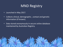# MND Registry

- Launched in May 2017.
- Collects clinical, demographic , contact and genetic information (if known).
- Data stored anonymously in secure online database maintained by Australian Registry.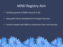# MND Registry Aim

- Facilitate growth of MND research in NZ.
- Help guide future development of Support Services.
- Connect people with MND to researchers here and overseas.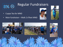

# Regular Fundraisers

- Cuppa Tea for MND
- Main fundraiser Walk 2 d'feet MND





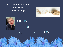Most common question – What Next ? & How long?



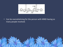

• Can be overwhelming for the person with MND having so many people involved.

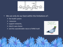

- We can only do our best within the limitations of :
	- $\triangleright$  the health system
	- $\triangleright$  resources
	- $\triangleright$  support networks,
	- ➢ client's own choice
	- $\triangleright$  and the unpredictable nature of MND itself.



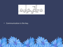

#### • Communication is the key.

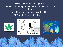This is such an individual journey. People have the right to choose and do what works for them, even if it might seem unconventional to us, BUT we don't promote – just listen.





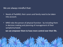#### We are always mindful that:

- Needs of PwMND, their carers and family need to be taken into account.
- MND robs the person of physical function- by including them in decision making and planning of management of their symptoms/needs

**we can empower them to have more control over their life.**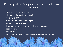### Our support for Caregivers is an important focus of our work

- Change in lifestyle and role.
- Altered family function/dynamic.
- Ongoing grief & loss
- Sense of self & identity changes.
- Anxiety & Helplessness.
- Little/no control over personal decision making.
- Loss of Privacy.
- Exhaustion.
- Both Physical Health & Psychological wellbeing impacted.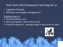#### Main Perth 2019 Symposium learnings for us

- Cognitive Changes
- Nutrition and weight management

#### Emphasis was on :

- $\triangleright$  Multidisciplinary care
- $\triangleright$  Working together rather than in silos
- $\triangleright$  Proactive approach getting things in place prior to need

JF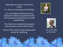Although our work is very sad at times, It is also so rewarding and fulfilling.

It is a privilege and blessing to be allowed into these beautiful families and to have the opportunity to walk beside them.

Our clients are inspirational people and we learn so much from them.

None of the team would change what we do for anything.





*"Her smile lights up the world."*